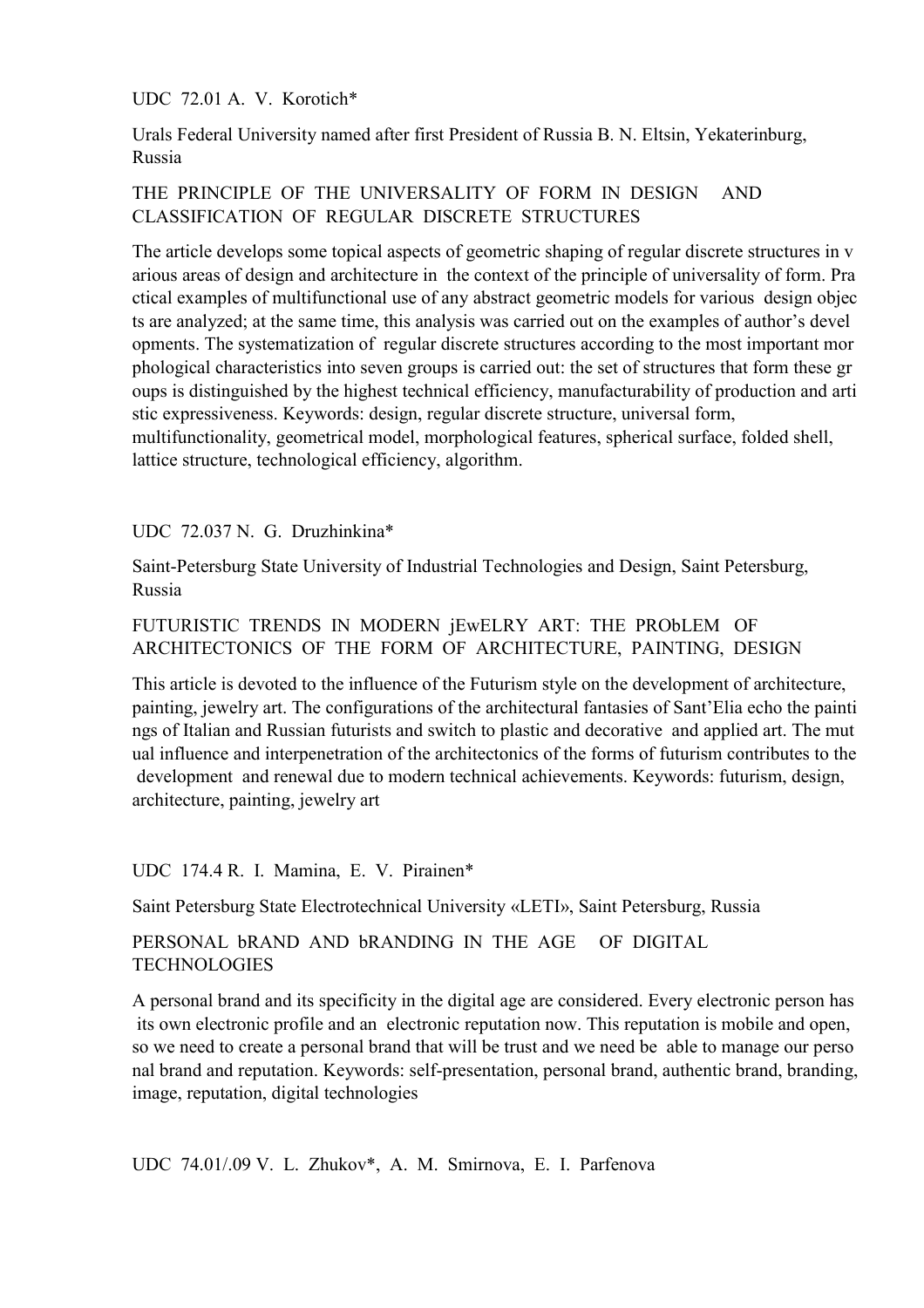UDC 72.01 A. V. Korotich\*

Urals Federal University named after first President of Russia B. N. Eltsin, Yekaterinburg, Russia

# THE PRINCIPLE OF THE UNIVERSALITY OF FORM IN DESIGN AND CLASSIFICATION OF REGULAR DISCRETE STRUCTURES

The article develops some topical aspects of geometric shaping of regular discrete structures in v arious areas of design and architecture in the context of the principle of universality of form. Pra ctical examples of multifunctional use of any abstract geometric models for various design objec ts are analyzed; at the same time, this analysis was carried out on the examples of author's devel opments. The systematization of regular discrete structures according to the most important mor phological characteristics into seven groups is carried out: the set of structures that form these gr oups is distinguished by the highest technical efficiency, manufacturability of production and arti stic expressiveness. Keywords: design, regular discrete structure, universal form, multifunctionality, geometrical model, morphological features, spherical surface, folded shell,

lattice structure, technological efficiency, algorithm.

UDC 72.037 N. G. Druzhinkina\*

Saint-Petersburg State University of Industrial Technologies and Design, Saint Petersburg, Russia

# FUTURISTIC TRENDS IN MODERN jEwELRY ART: THE PRObLEM OF ARCHITECTONICS OF THE FORM OF ARCHITECTURE, PAINTING, DESIGN

This article is devoted to the influence of the Futurism style on the development of architecture, painting, jewelry art. The configurations of the architectural fantasies of Sant'Elia echo the painti ngs of Italian and Russian futurists and switch to plastic and decorative and applied art. The mut ual influence and interpenetration of the architectonics of the forms of futurism contributes to the development and renewal due to modern technical achievements. Keywords: futurism, design, architecture, painting, jewelry art

UDC 174.4 R. I. Mamina, E. V. Pirainen\*

Saint Petersburg State Electrotechnical University «LETI», Saint Petersburg, Russia

PERSONAL bRAND AND bRANDING IN THE AGE OF DIGITAL TECHNOLOGIES

A personal brand and its specificity in the digital age are considered. Every electronic person has its own electronic profile and an electronic reputation now. This reputation is mobile and open, so we need to create a personal brand that will be trust and we need be able to manage our perso nal brand and reputation. Keywords: self-presentation, personal brand, authentic brand, branding, image, reputation, digital technologies

UDС 74.01/.09 V. L. Zhukov\*, A. M. Smirnova, E. I. Parfenova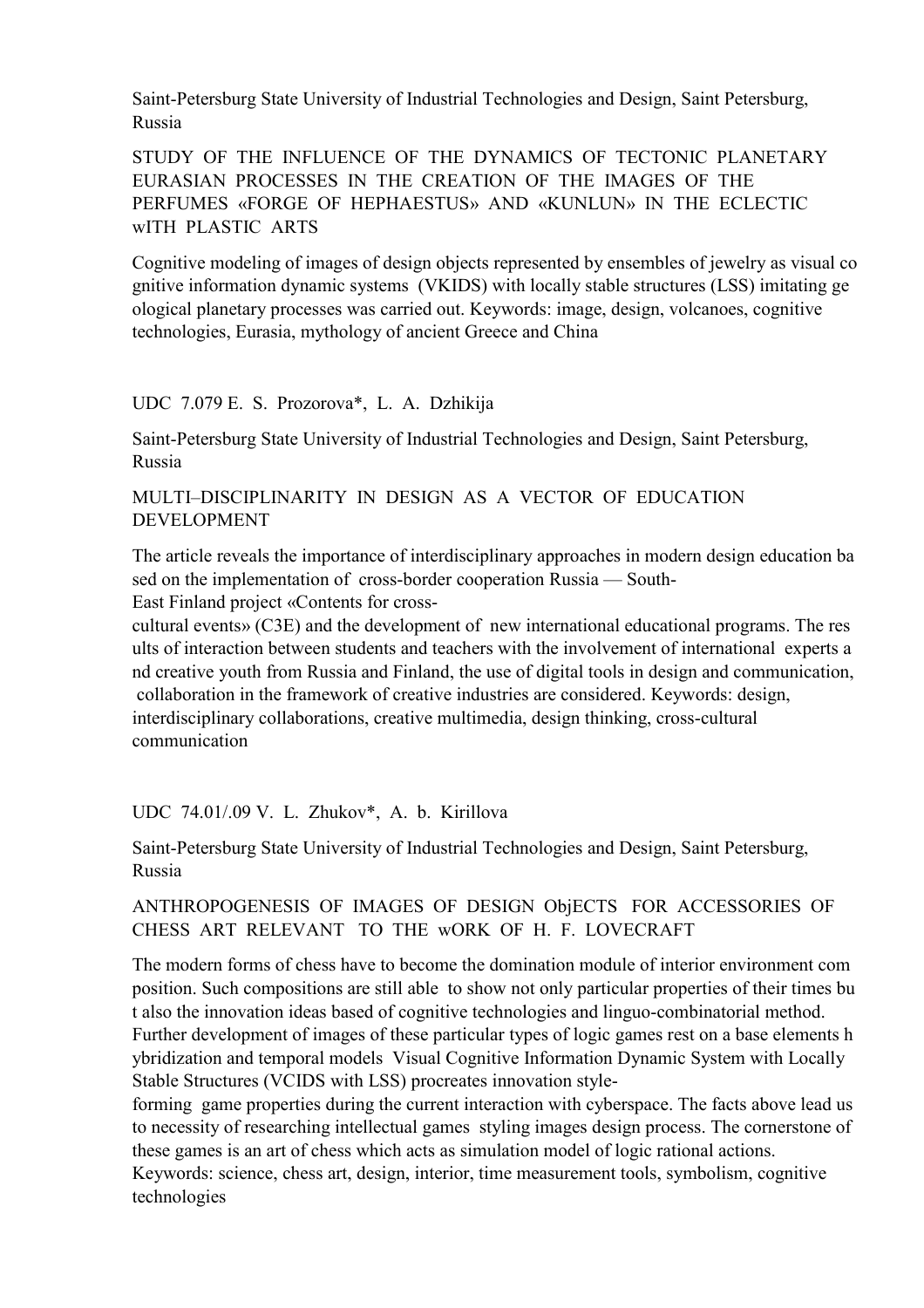Saint-Petersburg State University of Industrial Technologies and Design, Saint Petersburg, Russia

STUDY OF THE INFLUENCE OF THE DYNAMICS OF TECTONIC PLANETARY EURASIAN PROCESSES IN THE CREATION OF THE IMAGES OF THE PERFUMES «FORGE OF HEPHAESTUS» AND «KUNLUN» IN THE ECLECTIC wITH PLASTIC ARTS

Cognitive modeling of images of design objects represented by ensembles of jewelry as visual co gnitive information dynamic systems (VKIDS) with locally stable structures (LSS) imitating ge ological planetary processes was carried out. Keywords: image, design, volcanoes, cognitive technologies, Eurasia, mythology of ancient Greece and China

#### UDС 7.079 E. S. Prozorova\*, L. A. Dzhikija

Saint-Petersburg State University of Industrial Technologies and Design, Saint Petersburg, Russia

## MULTI–DISCIPLINARITY IN DESIGN AS A VECTOR OF EDUCATION DEVELOPMENT

The article reveals the importance of interdisciplinary approaches in modern design education ba sed on the implementation of cross-border cooperation Russia — South-East Finland project «Contents for cross-

cultural events» (C3E) and the development of new international educational programs. The res ults of interaction between students and teachers with the involvement of international experts a nd creative youth from Russia and Finland, the use of digital tools in design and communication, collaboration in the framework of creative industries are considered. Keywords: design, interdisciplinary collaborations, creative multimedia, design thinking, cross-cultural communication

## UDC 74.01/.09 V. L. Zhukov\*, A. b. Kirillova

Saint-Petersburg State University of Industrial Technologies and Design, Saint Petersburg, Russia

#### ANTHROPOGENESIS OF IMAGES OF DESIGN ObjECTS FOR ACCESSORIES OF CHESS ART RELEVANT TO THE wORK OF H. F. LOVECRAFT

The modern forms of chess have to become the domination module of interior environment com position. Such compositions are still able to show not only particular properties of their times bu t also the innovation ideas based of cognitive technologies and linguo-combinatorial method. Further development of images of these particular types of logic games rest on a base elements h ybridization and temporal models Visual Cognitive Information Dynamic System with Locally Stable Structures (VCIDS with LSS) procreates innovation style-

forming game properties during the current interaction with cyberspace. The facts above lead us to necessity of researching intellectual games styling images design process. The cornerstone of these games is an art of chess which acts as simulation model of logic rational actions.

Keywords: science, chess art, design, interior, time measurement tools, symbolism, cognitive technologies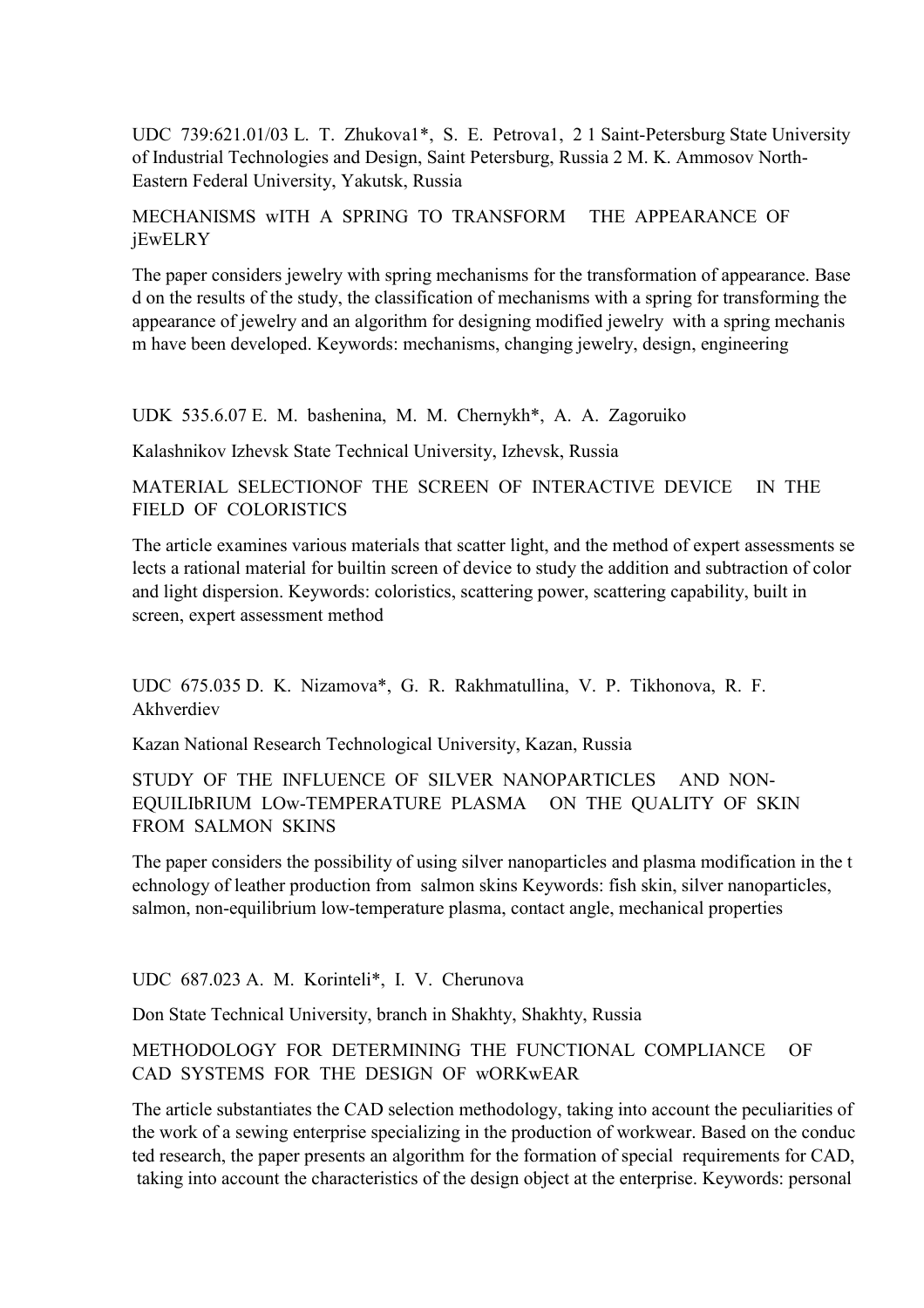UDC 739:621.01/03 L. T. Zhukova1\*, S. E. Petrova1, 2 1 Saint-Petersburg State University of Industrial Technologies and Design, Saint Petersburg, Russia 2 M. K. Ammosov North-Eastern Federal University, Yakutsk, Russia

## MECHANISMS wITH A SPRING TO TRANSFORM THE APPEARANCE OF jEwELRY

The paper considers jewelry with spring mechanisms for the transformation of appearance. Base d on the results of the study, the classification of mechanisms with a spring for transforming the appearance of jewelry and an algorithm for designing modified jewelry with a spring mechanis m have been developed. Keywords: mechanisms, changing jewelry, design, engineering

UDK 535.6.07 E. M. bashenina, M. M. Chernykh\*, А. A. Zagoruiko

Kalashnikov Izhevsk State Technical University, Izhevsk, Russia

MATERIAL SELECTIONOF THE SCREEN OF INTERACTIVE DEVICE IN THE FIELD OF COLORISTICS

The article examines various materials that scatter light, and the method of expert assessments se lects a rational material for builtin screen of device to study the addition and subtraction of color and light dispersion. Keywords: coloristics, scattering power, scattering capability, built in screen, expert assessment method

UDC 675.035 D. K. Nizamova\*, G. R. Rakhmatullina, V. P. Tikhonova, R. F. Akhverdiev

Kazan National Research Technological University, Kazan, Russia

STUDY OF THE INFLUENCE OF SILVER NANOPARTICLES AND NON-EQUILIbRIUM LOw-TEMPERATURE PLASMA ON THE QUALITY OF SKIN FROM SALMON SKINS

The paper considers the possibility of using silver nanoparticles and plasma modification in the t echnology of leather production from salmon skins Keywords: fish skin, silver nanoparticles, salmon, non-equilibrium low-temperature plasma, contact angle, mechanical properties

UDC 687.023 A. M. Korinteli\*, I. V. Cherunova

Don State Technical University, branch in Shakhty, Shakhty, Russia

## METHODOLOGY FOR DETERMINING THE FUNCTIONAL COMPLIANCE OF CAD SYSTEMS FOR THE DESIGN OF wORKwEAR

The article substantiates the CAD selection methodology, taking into account the peculiarities of the work of a sewing enterprise specializing in the production of workwear. Based on the conduc ted research, the paper presents an algorithm for the formation of special requirements for CAD, taking into account the characteristics of the design object at the enterprise. Keywords: personal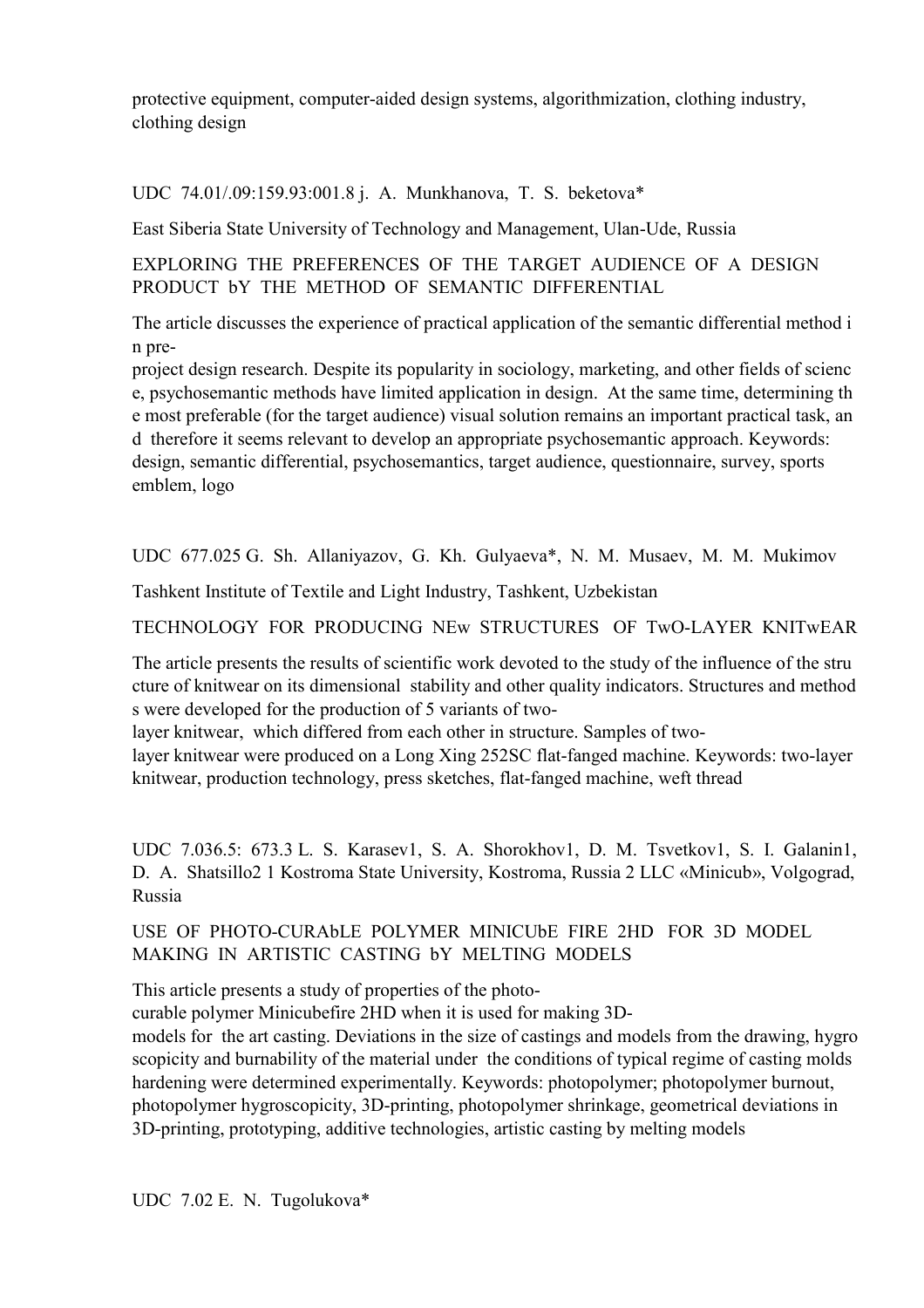protective equipment, computer-aided design systems, algorithmization, clothing industry, clothing design

UDC 74.01/.09:159.93:001.8 j. A. Munkhanova, T. S. beketova\*

East Siberia State University of Technology and Management, Ulan-Ude, Russia

EXPLORING THE PREFERENCES OF THE TARGET AUDIENCE OF A DESIGN PRODUCT **by THE METHOD OF SEMANTIC DIFFERENTIAL** 

The article discusses the experience of practical application of the semantic differential method i n pre-

project design research. Despite its popularity in sociology, marketing, and other fields of scienc e, psychosemantic methods have limited application in design. At the same time, determining th e most preferable (for the target audience) visual solution remains an important practical task, an d therefore it seems relevant to develop an appropriate psychosemantic approach. Keywords: design, semantic differential, psychosemantics, target audience, questionnaire, survey, sports emblem, logo

UDC 677.025 G. Sh. Allaniyazov, G. Kh. Gulyaeva\*, N. M. Musaev, M. M. Mukimov

Tashkent Institute of Textile and Light Industry, Tashkent, Uzbekistan

TECHNOLOGY FOR PRODUCING NEw STRUCTURES OF TwO-LAYER KNITwEAR

The article presents the results of scientific work devoted to the study of the influence of the stru cture of knitwear on its dimensional stability and other quality indicators. Structures and method s were developed for the production of 5 variants of two-

layer knitwear, which differed from each other in structure. Samples of two-

layer knitwear were produced on a Long Xing 252SC flat-fanged machine. Keywords: two-layer knitwear, production technology, press sketches, flat-fanged machine, weft thread

UDC 7.036.5: 673.3 L. S. Karasev1, S. A. Shorokhov1, D. M. Tsvetkov1, S. I. Galanin1, D. A. Shatsillo2 1 Kostroma State University, Kostroma, Russia 2 LLC «Minicub», Volgograd, Russia

USE OF PHOTO-CURAbLE POLYMER MINICUbE FIRE 2HD FOR 3D MODEL MAKING IN ARTISTIC CASTING bY MELTING MODELS

This article presents a study of properties of the photo-

curable polymer Minicubefire 2HD when it is used for making 3D-

models for the art casting. Deviations in the size of castings and models from the drawing, hygro scopicity and burnability of the material under the conditions of typical regime of casting molds hardening were determined experimentally. Keywords: photopolymer; photopolymer burnout, photopolymer hygroscopicity, 3D-printing, photopolymer shrinkage, geometrical deviations in 3D-printing, prototyping, additive technologies, artistic casting by melting models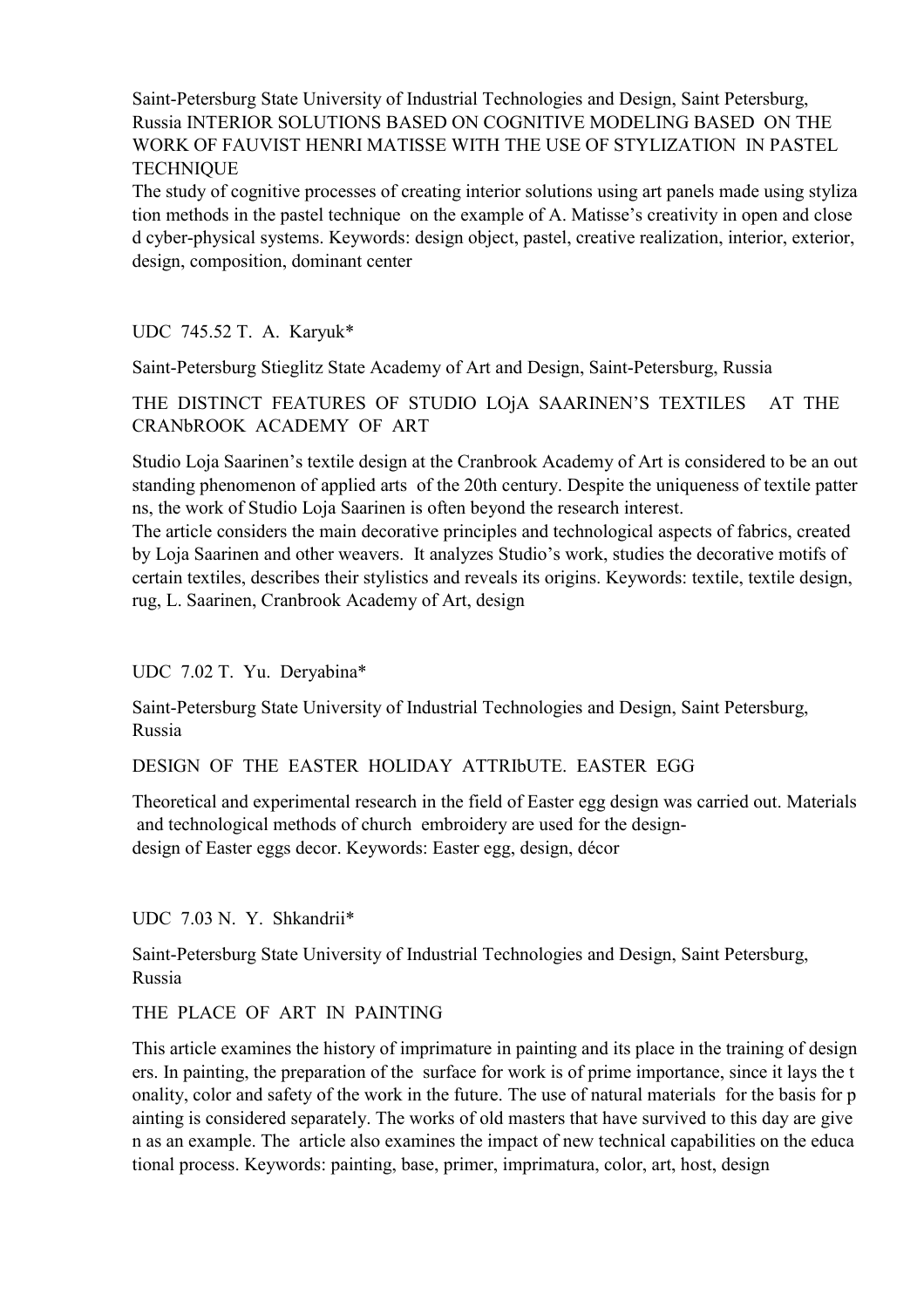Saint-Petersburg State University of Industrial Technologies and Design, Saint Petersburg, Russia INTERIOR SOLUTIONS BASED ON COGNITIVE MODELING BASED ON THE WORK OF FAUVIST HENRI MATISSE WITH THE USE OF STYLIZATION IN PASTEL **TECHNIQUE** 

The study of cognitive processes of creating interior solutions using art panels made using styliza tion methods in the pastel technique on the example of A. Matisse's creativity in open and close d cyber-physical systems. Keywords: design object, pastel, creative realization, interior, exterior, design, composition, dominant center

UDC 745.52 T. A. Karyuk\*

Saint-Petersburg Stieglitz State Academy of Art and Design, Saint-Petersburg, Russia

THE DISTINCT FEATURES OF STUDIO LOjA SAARINEN'S TEXTILES AT THE CRANbROOK ACADEMY OF ART

Studio Loja Saarinen's textile design at the Cranbrook Academy of Art is considered to be an out standing phenomenon of applied arts of the 20th century. Despite the uniqueness of textile patter ns, the work of Studio Loja Saarinen is often beyond the research interest.

The article considers the main decorative principles and technological aspects of fabrics, created by Loja Saarinen and other weavers. It analyzes Studio's work, studies the decorative motifs of certain textiles, describes their stylistics and reveals its origins. Keywords: textile, textile design, rug, L. Saarinen, Cranbrook Academy of Art, design

UDC 7.02 Т. Yu. Deryabina\*

Saint-Petersburg State University of Industrial Technologies and Design, Saint Petersburg, Russia

DESIGN OF THE EASTER HOLIDAY ATTRIbUTE. EASTER EGG

Theoretical and experimental research in the field of Easter egg design was carried out. Materials and technological methods of church embroidery are used for the designdesign of Easter eggs decor. Keywords: Easter egg, design, décor

UDC 7.03 N. Y. Shkandrii\*

Saint-Petersburg State University of Industrial Technologies and Design, Saint Petersburg, Russia

THE PLACE OF ART IN PAINTING

This article examines the history of imprimature in painting and its place in the training of design ers. In painting, the preparation of the surface for work is of prime importance, since it lays the t onality, color and safety of the work in the future. The use of natural materials for the basis for p ainting is considered separately. The works of old masters that have survived to this day are give n as an example. The article also examines the impact of new technical capabilities on the educa tional process. Keywords: painting, base, primer, imprimatura, color, art, host, design